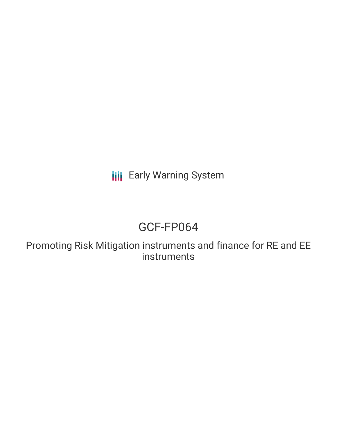**III** Early Warning System

# GCF-FP064

Promoting Risk Mitigation instruments and finance for RE and EE instruments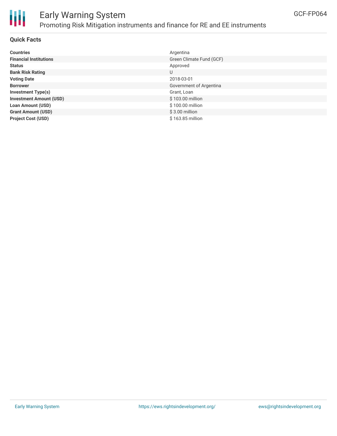

## Early Warning System Promoting Risk Mitigation instruments and finance for RE and EE instruments

#### **Quick Facts**

| <b>Countries</b>               | Argentina                |
|--------------------------------|--------------------------|
| <b>Financial Institutions</b>  | Green Climate Fund (GCF) |
|                                |                          |
| <b>Status</b>                  | Approved                 |
| <b>Bank Risk Rating</b>        | U                        |
| <b>Voting Date</b>             | 2018-03-01               |
| <b>Borrower</b>                | Government of Argentina  |
| <b>Investment Type(s)</b>      | Grant, Loan              |
| <b>Investment Amount (USD)</b> | \$103.00 million         |
| <b>Loan Amount (USD)</b>       | \$100.00 million         |
| <b>Grant Amount (USD)</b>      | $$3.00$ million          |
| <b>Project Cost (USD)</b>      | \$163.85 million         |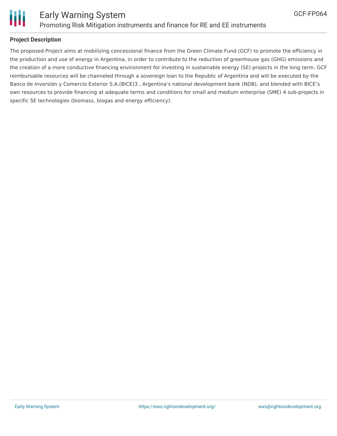



#### **Project Description**

The proposed Project aims at mobilizing concessional finance from the Green Climate Fund (GCF) to promote the efficiency in the production and use of energy in Argentina, in order to contribute to the reduction of greenhouse gas (GHG) emissions and the creation of a more conductive financing environment for investing in sustainable energy (SE) projects in the long term. GCF reimbursable resources will be channeled through a sovereign loan to the Republic of Argentina and will be executed by the Banco de Inversión y Comercio Exterior S.A.(BICE)3 , Argentina's national development bank (NDB), and blended with BICE's own resources to provide financing at adequate terms and conditions for small and medium enterprise (SME) 4 sub-projects in specific SE technologies (biomass, biogas and energy efficiency).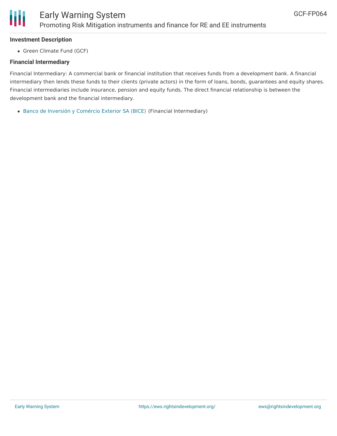

#### **Investment Description**

• Green Climate Fund (GCF)

#### **Financial Intermediary**

Financial Intermediary: A commercial bank or financial institution that receives funds from a development bank. A financial intermediary then lends these funds to their clients (private actors) in the form of loans, bonds, guarantees and equity shares. Financial intermediaries include insurance, pension and equity funds. The direct financial relationship is between the development bank and the financial intermediary.

Banco de Inversión y [Comércio](file:///actor/457/) Exterior SA (BICE) (Financial Intermediary)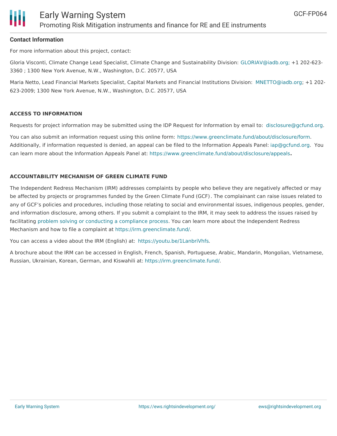

#### **Contact Information**

For more information about this project, contact:

Gloria Visconti, Climate Change Lead Specialist, Climate Change and Sustainability Division: [GLORIAV@iadb.org;](mailto:GLORIAV@iadb.org;) +1 202-623- 3360 ; 1300 New York Avenue, N.W., Washington, D.C. 20577, USA

Maria Netto, Lead Financial Markets Specialist, Capital Markets and Financial Institutions Division: [MNETTO@iadb.org](mailto:MNETTO@iadb.org); +1 202- 623-2009; 1300 New York Avenue, N.W., Washington, D.C. 20577, USA

#### **ACCESS TO INFORMATION**

Requests for project information may be submitted using the IDP Request for Information by email to: [disclosure@gcfund.org](mailto:disclosure@gcfund.org).

You can also submit an information request using this online form: <https://www.greenclimate.fund/about/disclosure/form>. Additionally, if information requested is denied, an appeal can be filed to the Information Appeals Panel: [iap@gcfund.org](mailto:iap@gcfund.org). You can learn more about the Information Appeals Panel at: <https://www.greenclimate.fund/about/disclosure/appeals>**.**

#### **ACCOUNTABILITY MECHANISM OF GREEN CLIMATE FUND**

The Independent Redress Mechanism (IRM) addresses complaints by people who believe they are negatively affected or may be affected by projects or programmes funded by the Green Climate Fund (GCF). The complainant can raise issues related to any of GCF's policies and procedures, including those relating to social and environmental issues, indigenous peoples, gender, and information disclosure, among others. If you submit a complaint to the IRM, it may seek to address the issues raised by facilitating problem solving or conducting a [compliance](https://irm.greenclimate.fund/about-the-irm/how-we-work) process. You can learn more about the Independent Redress Mechanism and how to file a complaint at <https://irm.greenclimate.fund/>.

You can access a video about the IRM (English) at: <https://youtu.be/1LanbriVhfs>.

A brochure about the IRM can be accessed in English, French, Spanish, Portuguese, Arabic, Mandarin, Mongolian, Vietnamese, Russian, Ukrainian, Korean, German, and Kiswahili at: <https://irm.greenclimate.fund/>.